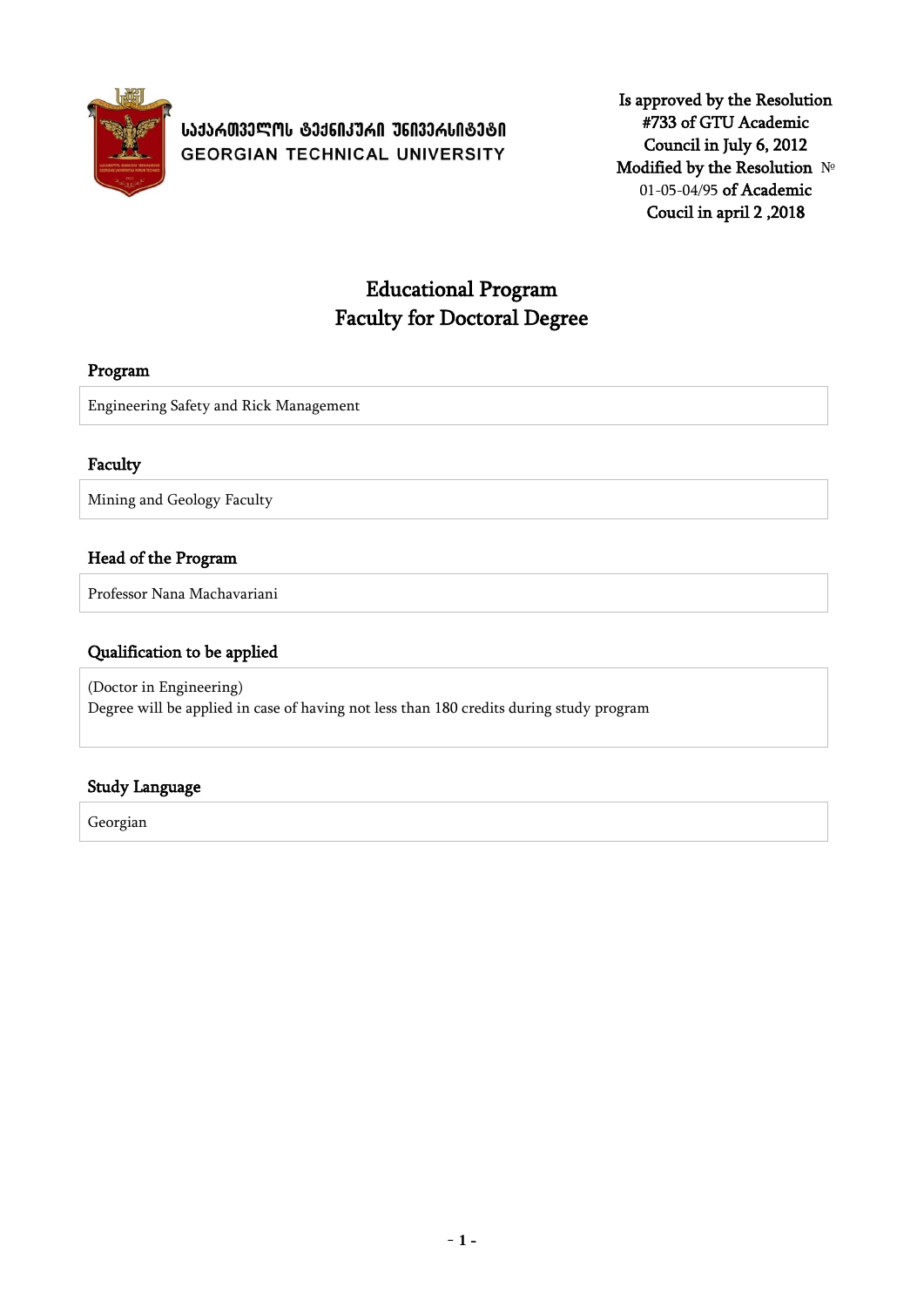

# **ᲡᲐᲥᲐᲠᲗᲕᲔᲚᲝᲡ ᲢᲔᲥᲜᲘᲙᲣᲠᲘ ᲣᲜᲘᲕᲔᲠᲡᲘᲢᲔᲢᲘ GEORGIAN TECHNICAL UNIVERSITY**

Is approved by the Resolution #733 of GTU Academic Council in July 6, 2012 Modified by the Resolution № 01-05-04/95 of Academic Coucil in april 2 ,2018

# Educational Program Faculty for Doctoral Degree

## Program

Engineering Safety and Rick Management

### Faculty

Mining and Geology Faculty

# Head of the Program

Professor Nana Machavariani

### Qualification to be applied

(Doctor in Engineering) Degree will be applied in case of having not less than 180 credits during study program

# Study Language

Georgian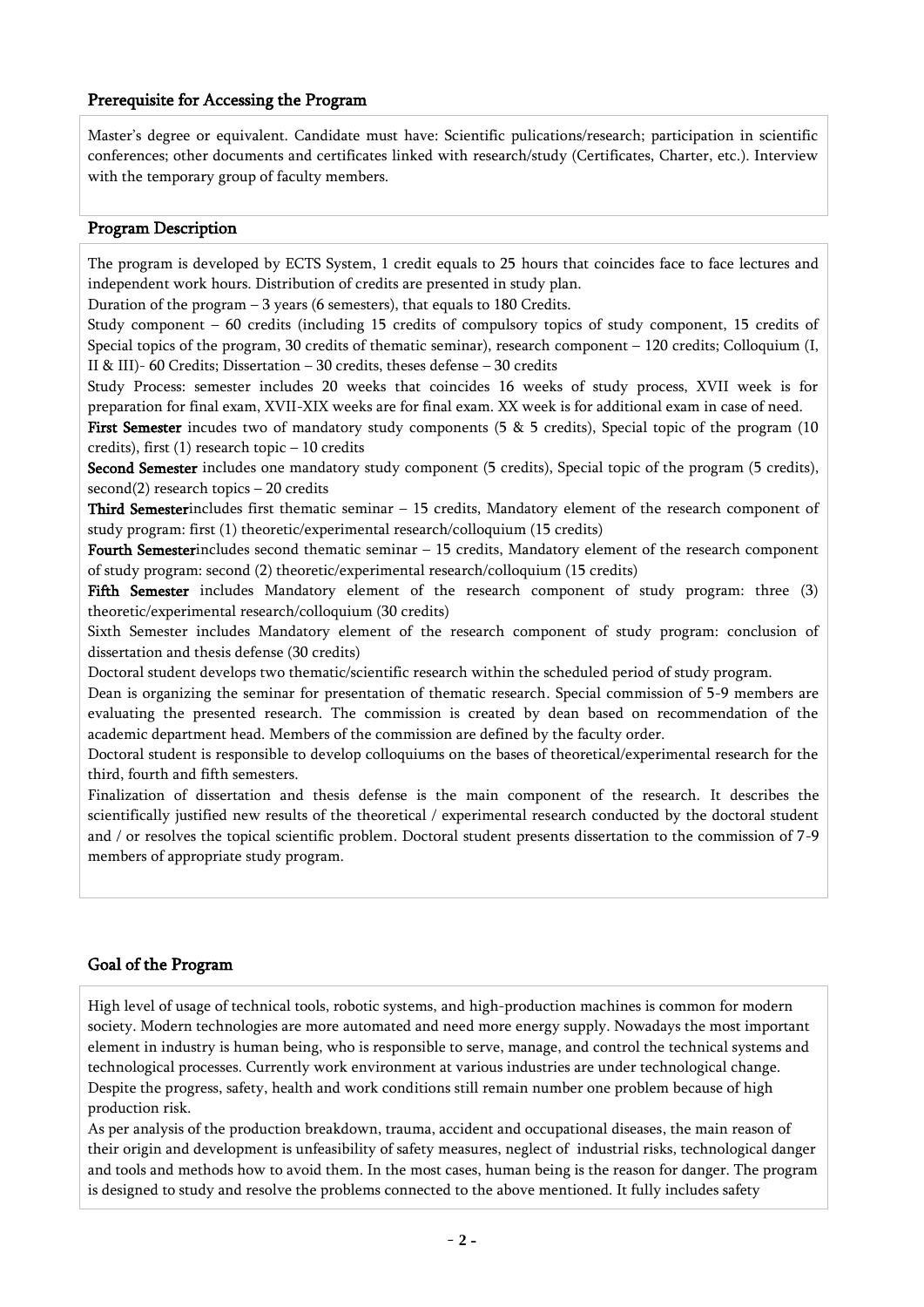#### Prerequisite for Accessing the Program

Master's degree or equivalent. Candidate must have: Scientific pulications/research; participation in scientific conferences; other documents and certificates linked with research/study (Certificates, Charter, etc.). Interview with the temporary group of faculty members.

#### Program Description

The program is developed by ECTS System, 1 credit equals to 25 hours that coincides face to face lectures and independent work hours. Distribution of credits are presented in study plan.

Duration of the program – 3 years (6 semesters), that equals to 180 Credits.

Study component – 60 credits (including 15 credits of compulsory topics of study component, 15 credits of Special topics of the program, 30 credits of thematic seminar), research component – 120 credits; Colloquium (I, II & III)- 60 Credits; Dissertation – 30 credits, theses defense – 30 credits

Study Process: semester includes 20 weeks that coincides 16 weeks of study process, XVII week is for preparation for final exam, XVII-XIX weeks are for final exam. XX week is for additional exam in case of need.

First Semester incudes two of mandatory study components (5 & 5 credits), Special topic of the program (10 credits), first (1) research topic – 10 credits

Second Semester includes one mandatory study component (5 credits), Special topic of the program (5 credits), second(2) research topics – 20 credits

Third Semesterincludes first thematic seminar – 15 credits, Mandatory element of the research component of study program: first (1) theoretic/experimental research/colloquium (15 credits)

Fourth Semesterincludes second thematic seminar – 15 credits, Mandatory element of the research component of study program: second (2) theoretic/experimental research/colloquium (15 credits)

Fifth Semester includes Mandatory element of the research component of study program: three (3) theoretic/experimental research/colloquium (30 credits)

Sixth Semester includes Mandatory element of the research component of study program: conclusion of dissertation and thesis defense (30 credits)

Doctoral student develops two thematic/scientific research within the scheduled period of study program.

Dean is organizing the seminar for presentation of thematic research. Special commission of 5-9 members are evaluating the presented research. The commission is created by dean based on recommendation of the academic department head. Members of the commission are defined by the faculty order.

Doctoral student is responsible to develop colloquiums on the bases of theoretical/experimental research for the third, fourth and fifth semesters.

Finalization of dissertation and thesis defense is the main component of the research. It describes the scientifically justified new results of the theoretical / experimental research conducted by the doctoral student and / or resolves the topical scientific problem. Doctoral student presents dissertation to the commission of 7-9 members of appropriate study program.

# Goal of the Program

High level of usage of technical tools, robotic systems, and high-production machines is common for modern society. Modern technologies are more automated and need more energy supply. Nowadays the most important element in industry is human being, who is responsible to serve, manage, and control the technical systems and technological processes. Currently work environment at various industries are under technological change. Despite the progress, safety, health and work conditions still remain number one problem because of high production risk.

As per analysis of the production breakdown, trauma, accident and occupational diseases, the main reason of their origin and development is unfeasibility of safety measures, neglect of industrial risks, technological danger and tools and methods how to avoid them. In the most cases, human being is the reason for danger. The program is designed to study and resolve the problems connected to the above mentioned. It fully includes safety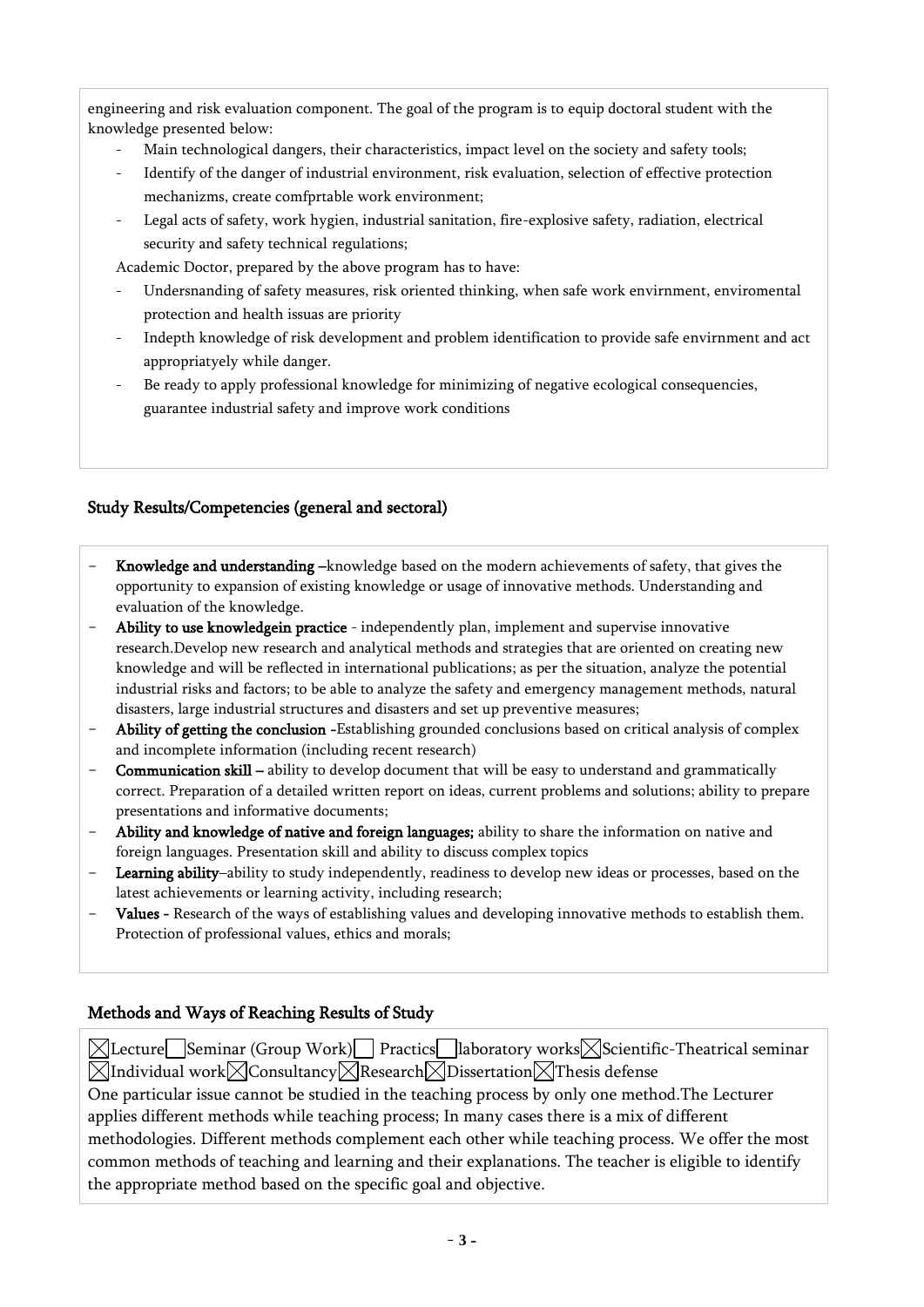engineering and risk evaluation component. The goal of the program is to equip doctoral student with the knowledge presented below:

- Main technological dangers, their characteristics, impact level on the society and safety tools;
- Identify of the danger of industrial environment, risk evaluation, selection of effective protection mechanizms, create comfprtable work environment;
- Legal acts of safety, work hygien, industrial sanitation, fire-explosive safety, radiation, electrical security and safety technical regulations;

Academic Doctor, prepared by the above program has to have:

- Undersnanding of safety measures, risk oriented thinking, when safe work envirnment, enviromental protection and health issuas are priority
- Indepth knowledge of risk development and problem identification to provide safe envirnment and act appropriatyely while danger.
- Be ready to apply professional knowledge for minimizing of negative ecological consequencies, guarantee industrial safety and improve work conditions

# Study Results/Competencies (general and sectoral)

- Knowledge and understanding –knowledge based on the modern achievements of safety, that gives the opportunity to expansion of existing knowledge or usage of innovative methods. Understanding and evaluation of the knowledge.
- Ability to use knowledgein practice independently plan, implement and supervise innovative research.Develop new research and analytical methods and strategies that are oriented on creating new knowledge and will be reflected in international publications; as per the situation, analyze the potential industrial risks and factors; to be able to analyze the safety and emergency management methods, natural disasters, large industrial structures and disasters and set up preventive measures;
- Ability of getting the conclusion -Establishing grounded conclusions based on critical analysis of complex and incomplete information (including recent research)
- **Communication skill** ability to develop document that will be easy to understand and grammatically correct. Preparation of a detailed written report on ideas, current problems and solutions; ability to prepare presentations and informative documents;
- Ability and knowledge of native and foreign languages; ability to share the information on native and foreign languages. Presentation skill and ability to discuss complex topics
- Learning ability–ability to study independently, readiness to develop new ideas or processes, based on the latest achievements or learning activity, including research;
- Values Research of the ways of establishing values and developing innovative methods to establish them. Protection of professional values, ethics and morals;

# Methods and Ways of Reaching Results of Study

 $\boxtimes$ Lecture Seminar (Group Work) Practics laboratory works Scientific-Theatrical seminar  $\boxtimes$ Individual work $\boxtimes$ Consultancy $\boxtimes$ Research $\boxtimes$ Dissertation $\boxtimes$ Thesis defense One particular issue cannot be studied in the teaching process by only one method.The Lecturer applies different methods while teaching process; In many cases there is a mix of different methodologies. Different methods complement each other while teaching process. We offer the most common methods of teaching and learning and their explanations. The teacher is eligible to identify the appropriate method based on the specific goal and objective.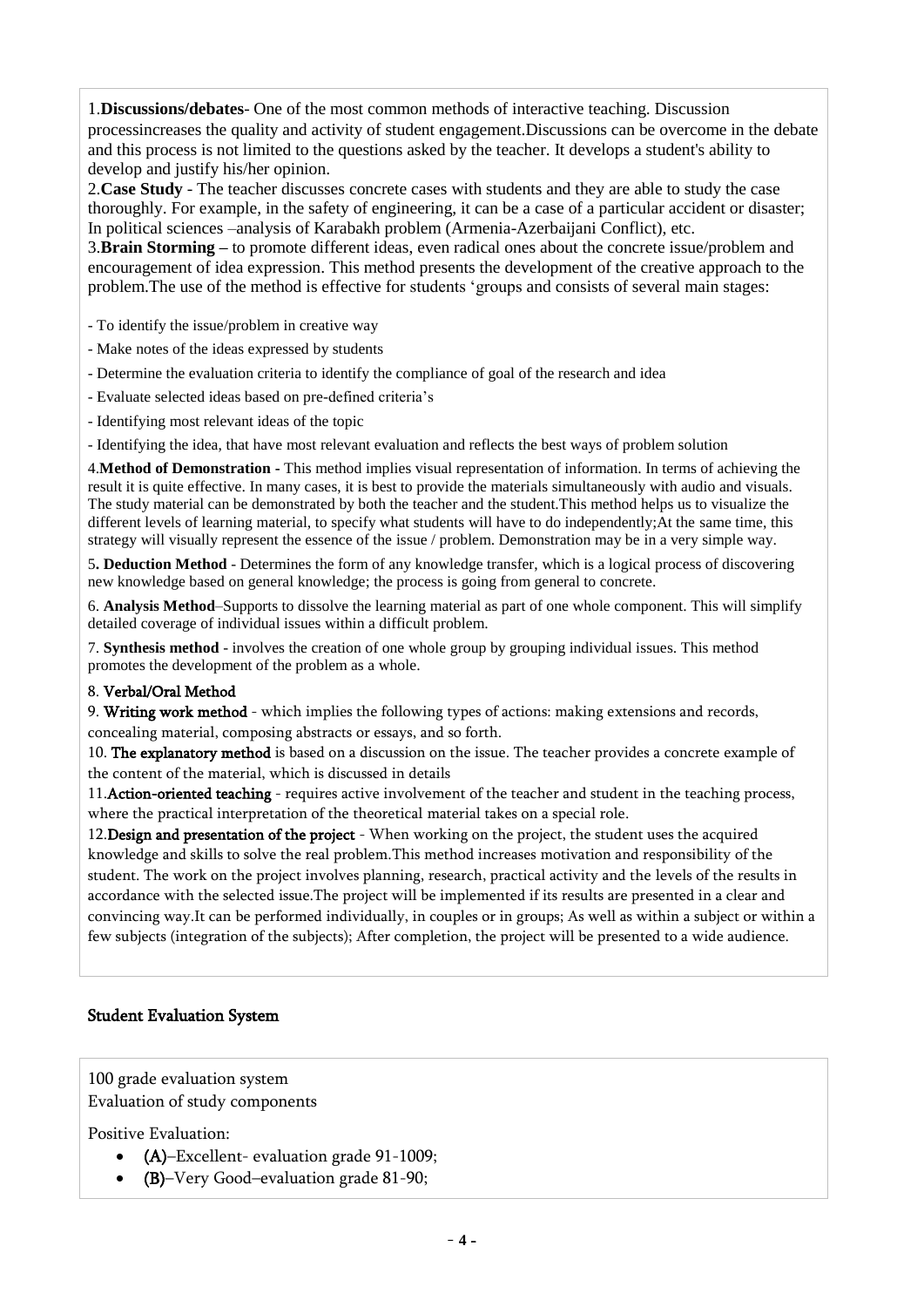1.**Discussions/debates**- One of the most common methods of interactive teaching. Discussion processincreases the quality and activity of student engagement.Discussions can be overcome in the debate and this process is not limited to the questions asked by the teacher. It develops a student's ability to develop and justify his/her opinion.

2.**Case Study** - The teacher discusses concrete cases with students and they are able to study the case thoroughly. For example, in the safety of engineering, it can be a case of a particular accident or disaster; In political sciences –analysis of Karabakh problem (Armenia-Azerbaijani Conflict), etc.

3.**Brain Storming –** to promote different ideas, even radical ones about the concrete issue/problem and encouragement of idea expression. This method presents the development of the creative approach to the problem.The use of the method is effective for students 'groups and consists of several main stages:

- To identify the issue/problem in creative way
- Make notes of the ideas expressed by students
- Determine the evaluation criteria to identify the compliance of goal of the research and idea
- Evaluate selected ideas based on pre-defined criteria's
- Identifying most relevant ideas of the topic

- Identifying the idea, that have most relevant evaluation and reflects the best ways of problem solution

4.**Method of Demonstration -** This method implies visual representation of information. In terms of achieving the result it is quite effective. In many cases, it is best to provide the materials simultaneously with audio and visuals. The study material can be demonstrated by both the teacher and the student.This method helps us to visualize the different levels of learning material, to specify what students will have to do independently;At the same time, this strategy will visually represent the essence of the issue / problem. Demonstration may be in a very simple way.

5**. Deduction Method** - Determines the form of any knowledge transfer, which is a logical process of discovering new knowledge based on general knowledge; the process is going from general to concrete.

6. **Analysis Method**–Supports to dissolve the learning material as part of one whole component. This will simplify detailed coverage of individual issues within a difficult problem.

7. **Synthesis method** - involves the creation of one whole group by grouping individual issues. This method promotes the development of the problem as a whole.

#### 8. Verbal/Oral Method

9. Writing work method - which implies the following types of actions: making extensions and records, concealing material, composing abstracts or essays, and so forth.

10. The explanatory method is based on a discussion on the issue. The teacher provides a concrete example of the content of the material, which is discussed in details

11.Action-oriented teaching - requires active involvement of the teacher and student in the teaching process, where the practical interpretation of the theoretical material takes on a special role.

12.Design and presentation of the project - When working on the project, the student uses the acquired knowledge and skills to solve the real problem.This method increases motivation and responsibility of the student. The work on the project involves planning, research, practical activity and the levels of the results in accordance with the selected issue.The project will be implemented if its results are presented in a clear and convincing way.It can be performed individually, in couples or in groups; As well as within a subject or within a few subjects (integration of the subjects); After completion, the project will be presented to a wide audience.

#### Student Evaluation System

100 grade evaluation system Evaluation of study components

Positive Evaluation:

- (A)–Excellent- evaluation grade 91-1009;
- (B)–Very Good–evaluation grade 81-90;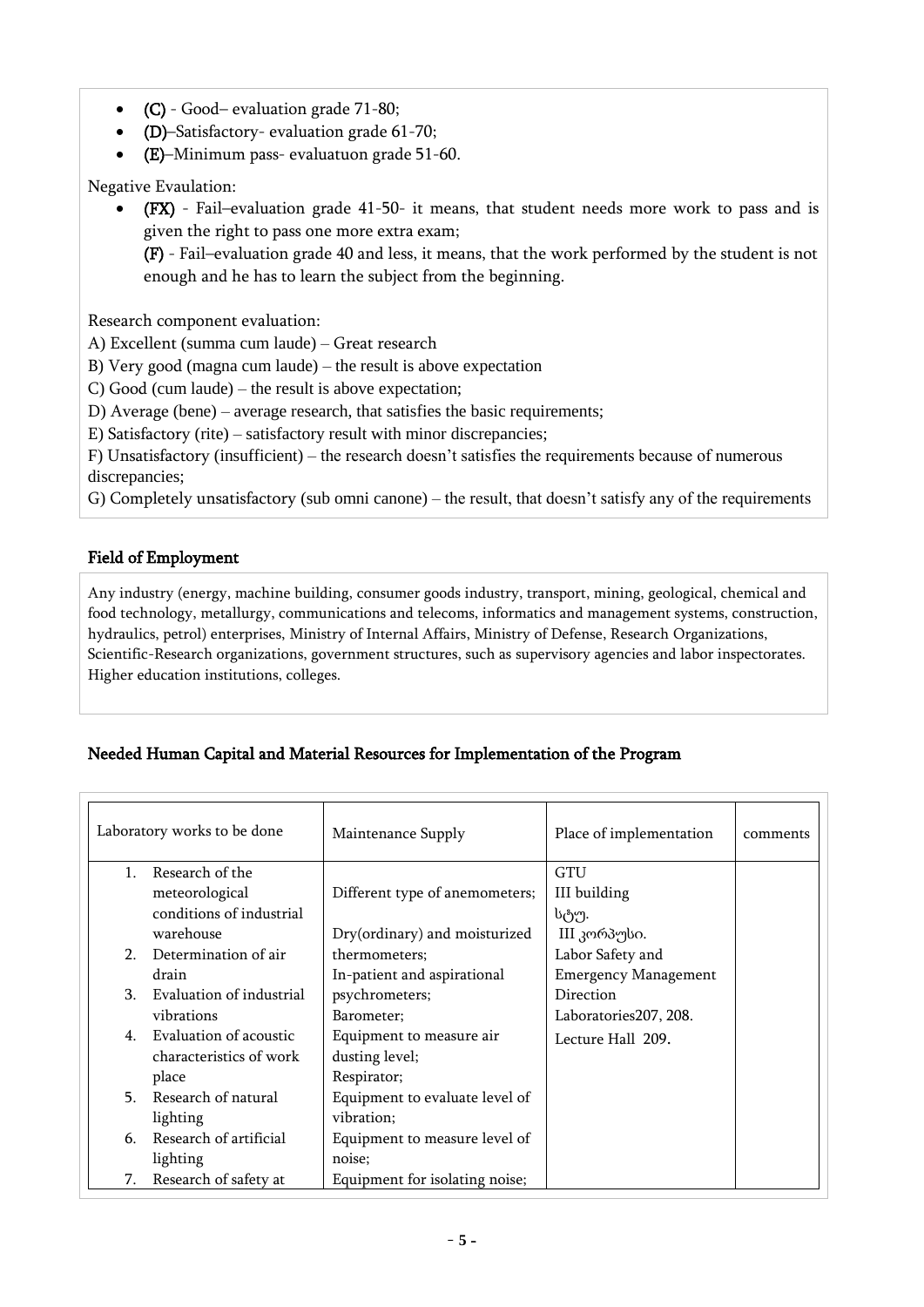- (C) Good– evaluation grade 71-80;
- (D)–Satisfactory- evaluation grade 61-70;
- (E)–Minimum pass- evaluatuon grade 51-60.

Negative Evaulation:

 (FX) - Fail–evaluation grade 41-50- it means, that student needs more work to pass and is given the right to pass one more extra exam;

(F) - Fail–evaluation grade 40 and less, it means, that the work performed by the student is not enough and he has to learn the subject from the beginning.

Research component evaluation:

A) Excellent (summa cum laude) – Great research

B) Very good (magna cum laude) – the result is above expectation

C) Good (cum laude) – the result is above expectation;

D) Average (bene) – average research, that satisfies the basic requirements;

E) Satisfactory (rite) – satisfactory result with minor discrepancies;

F) Unsatisfactory (insufficient) – the research doesn't satisfies the requirements because of numerous discrepancies;

G) Completely unsatisfactory (sub omni canone) – the result, that doesn't satisfy any of the requirements

### Field of Employment

Any industry (energy, machine building, consumer goods industry, transport, mining, geological, chemical and food technology, metallurgy, communications and telecoms, informatics and management systems, construction, hydraulics, petrol) enterprises, Ministry of Internal Affairs, Ministry of Defense, Research Organizations, Scientific-Research organizations, government structures, such as supervisory agencies and labor inspectorates. Higher education institutions, colleges.

### Needed Human Capital and Material Resources for Implementation of the Program

| Laboratory works to be done                      |                                                            | Maintenance Supply                                        | Place of implementation                  | comments |
|--------------------------------------------------|------------------------------------------------------------|-----------------------------------------------------------|------------------------------------------|----------|
| Research of the<br>$1_{\cdot}$<br>meteorological |                                                            | Different type of anemometers;                            | GTU<br>III building                      |          |
|                                                  | conditions of industrial<br>warehouse                      | Dry(ordinary) and moisturized                             | სტუ.<br>III კორპუსი.                     |          |
| 2 <sub>1</sub>                                   | Determination of air                                       | thermometers;                                             | Labor Safety and                         |          |
| 3 <sub>1</sub>                                   | drain<br>Evaluation of industrial                          | In-patient and aspirational<br>psychrometers;             | <b>Emergency Management</b><br>Direction |          |
|                                                  | vibrations                                                 | Barometer;                                                | Laboratories207, 208.                    |          |
| $4_{\cdot}$                                      | Evaluation of acoustic<br>characteristics of work<br>place | Equipment to measure air<br>dusting level;<br>Respirator; | Lecture Hall 209.                        |          |
| 5.                                               | Research of natural                                        | Equipment to evaluate level of                            |                                          |          |
|                                                  | lighting                                                   | vibration;                                                |                                          |          |
| 6.                                               | Research of artificial                                     | Equipment to measure level of                             |                                          |          |
|                                                  | lighting                                                   | noise;                                                    |                                          |          |
| 7.                                               | Research of safety at                                      | Equipment for isolating noise;                            |                                          |          |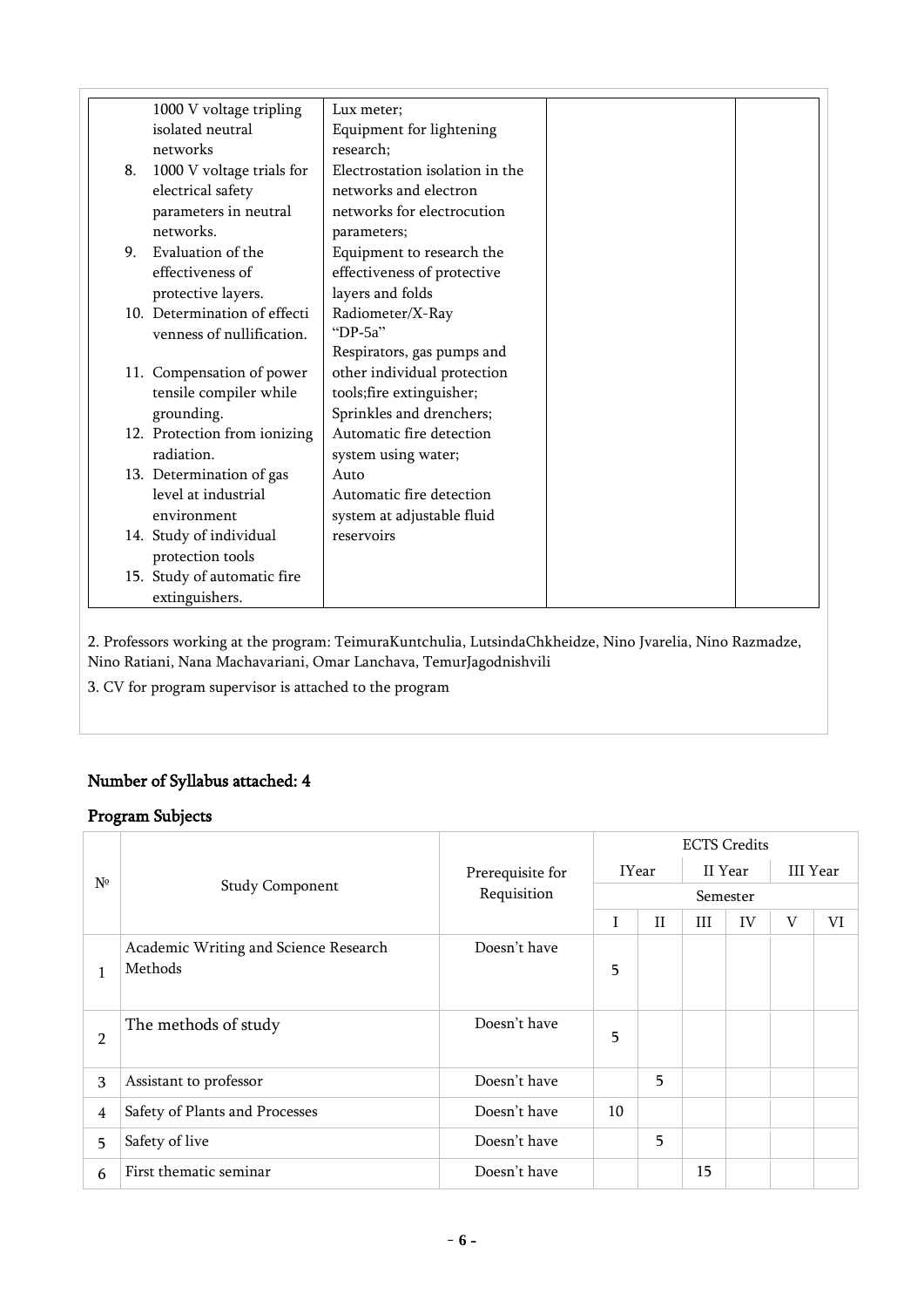|    | 1000 V voltage tripling      | Lux meter;                      |
|----|------------------------------|---------------------------------|
|    | isolated neutral             | Equipment for lightening        |
|    | networks                     | research;                       |
| 8. | 1000 V voltage trials for    | Electrostation isolation in the |
|    | electrical safety            | networks and electron           |
|    | parameters in neutral        | networks for electrocution      |
|    | networks.                    | parameters;                     |
| 9. | Evaluation of the            | Equipment to research the       |
|    | effectiveness of             | effectiveness of protective     |
|    | protective layers.           | layers and folds                |
|    | 10. Determination of effecti | Radiometer/X-Ray                |
|    | venness of nullification.    | "DP-5a"                         |
|    |                              | Respirators, gas pumps and      |
|    | 11. Compensation of power    | other individual protection     |
|    | tensile compiler while       | tools;fire extinguisher;        |
|    | grounding.                   | Sprinkles and drenchers;        |
|    | 12. Protection from ionizing | Automatic fire detection        |
|    | radiation.                   | system using water;             |
|    | 13. Determination of gas     | Auto                            |
|    | level at industrial          | Automatic fire detection        |
|    | environment                  | system at adjustable fluid      |
|    |                              | reservoirs                      |
|    | 14. Study of individual      |                                 |
|    | protection tools             |                                 |
|    | 15. Study of automatic fire  |                                 |
|    | extinguishers.               |                                 |

2. Professors working at the program: TeimuraKuntchulia, LutsindaChkheidze, Nino Jvarelia, Nino Razmadze, Nino Ratiani, Nana Machavariani, Omar Lanchava, TemurJagodnishvili

3. CV for program supervisor is attached to the program

# Number of Syllabus attached: 4

# Program Subjects

| $N^{\circ}$    |                                       |                  | <b>ECTS Credits</b>     |              |          |    |                 |  |
|----------------|---------------------------------------|------------------|-------------------------|--------------|----------|----|-----------------|--|
|                |                                       | Prerequisite for | <b>IYear</b><br>II Year |              |          |    | <b>III</b> Year |  |
|                | <b>Study Component</b>                | Requisition      |                         |              | Semester |    |                 |  |
|                |                                       |                  | T                       | $\mathbf{H}$ | III      | VI |                 |  |
|                | Academic Writing and Science Research | Doesn't have     |                         |              |          |    |                 |  |
| 1              | Methods                               |                  | 5                       |              |          |    |                 |  |
| 2              | The methods of study                  | Doesn't have     | 5                       |              |          |    |                 |  |
| 3              | Assistant to professor                | Doesn't have     |                         | 5            |          |    |                 |  |
| $\overline{4}$ | Safety of Plants and Processes        | Doesn't have     | 10 <sup>1</sup>         |              |          |    |                 |  |
| 5              | Safety of live                        | Doesn't have     |                         | 5            |          |    |                 |  |
| 6              | First thematic seminar                | Doesn't have     |                         |              | 15       |    |                 |  |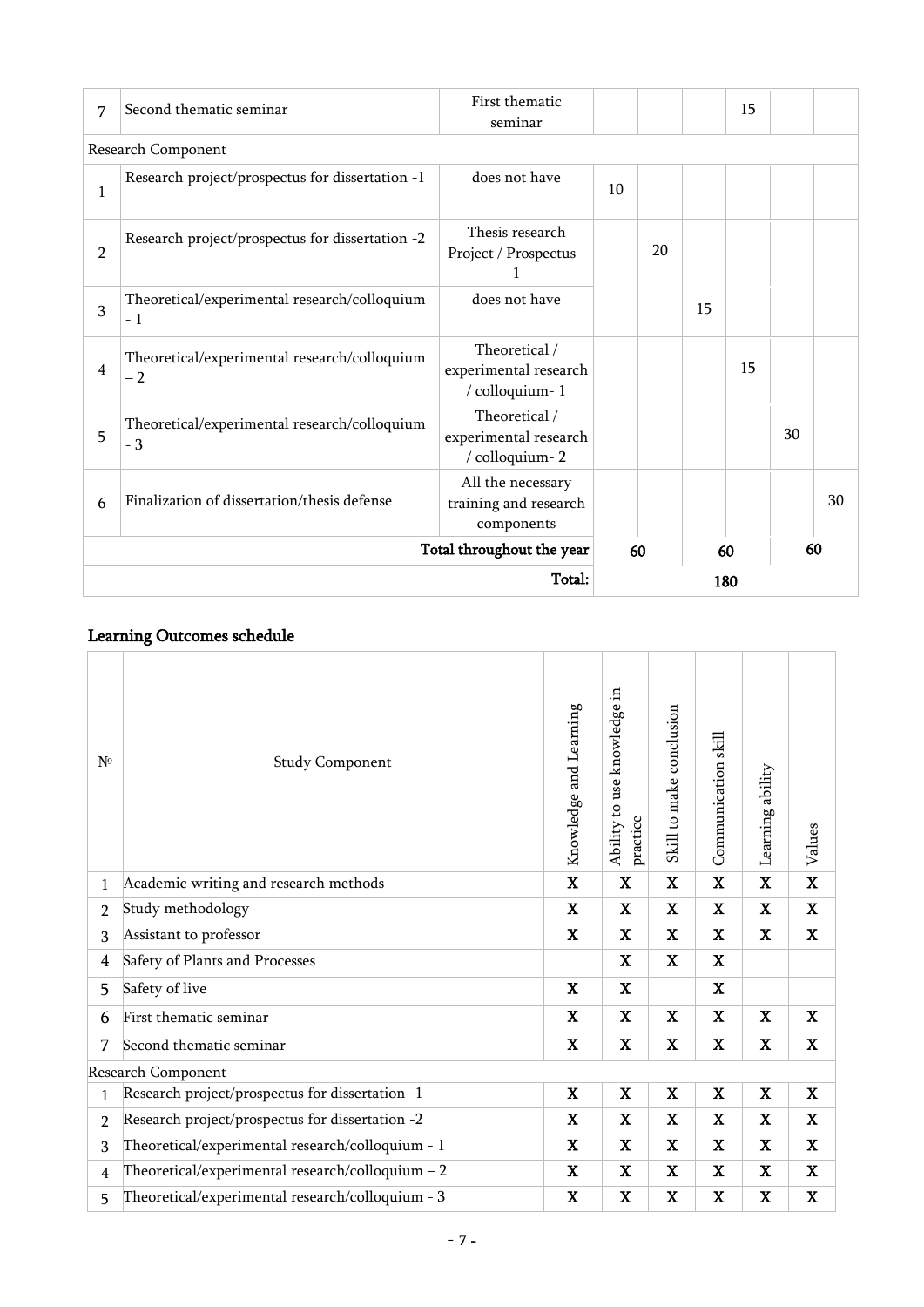| 7                         | First thematic<br>Second thematic seminar<br>seminar |                                                          |          |    |    | 15  |    |    |
|---------------------------|------------------------------------------------------|----------------------------------------------------------|----------|----|----|-----|----|----|
|                           | Research Component                                   |                                                          |          |    |    |     |    |    |
| 1                         | Research project/prospectus for dissertation -1      | does not have                                            | 10       |    |    |     |    |    |
| 2                         | Research project/prospectus for dissertation -2      | Thesis research<br>Project / Prospectus -                |          | 20 |    |     |    |    |
| 3                         | Theoretical/experimental research/colloquium<br>$-1$ | does not have                                            |          |    | 15 |     |    |    |
| 4                         | Theoretical/experimental research/colloquium<br>$-2$ | Theoretical /<br>experimental research<br>/ colloquium-1 |          |    |    | 15  |    |    |
| 5                         | Theoretical/experimental research/colloquium<br>$-3$ | Theoretical /<br>experimental research<br>/ colloquium-2 |          |    |    |     | 30 |    |
| 6                         | Finalization of dissertation/thesis defense          | All the necessary<br>training and research<br>components |          |    |    |     |    | 30 |
| Total throughout the year |                                                      |                                                          | 60<br>60 |    |    | 60  |    |    |
| Total:                    |                                                      |                                                          |          |    |    | 180 |    |    |

## Learning Outcomes schedule

| $N^{\circ}$    | <b>Study Component</b>                           | Knowledge and Learning | 르.<br>Ability to use knowledge<br>practice | Skill to make conclusion | Communication skill | Learning ability | Values      |
|----------------|--------------------------------------------------|------------------------|--------------------------------------------|--------------------------|---------------------|------------------|-------------|
| 1              | Academic writing and research methods            | $\mathbf X$            | $\mathbf X$                                | $\mathbf X$              | $\mathbf X$         | $\mathbf X$      | $\mathbf X$ |
| $\overline{2}$ | Study methodology                                |                        | $\mathbf X$                                | $\mathbf X$              | $\mathbf X$         | $\mathbf X$      | $\mathbf X$ |
| 3              | Assistant to professor                           | $\mathbf X$            | $\mathbf X$                                | $\mathbf X$              | X                   | $\mathbf X$      | $\mathbf X$ |
| 4              | Safety of Plants and Processes                   |                        | $\mathbf X$                                | $\mathbf x$              | X                   |                  |             |
| 5              | Safety of live                                   | $\mathbf X$            | $\mathbf X$                                |                          | $\mathbf X$         |                  |             |
| 6              | First thematic seminar                           | X                      | $\mathbf X$                                | X                        | $\mathbf X$         | $\mathbf X$      | $\mathbf X$ |
| 7              | Second thematic seminar                          | $\mathbf X$            | $\mathbf X$                                | $\mathbf x$              | $\mathbf X$         | $\mathbf X$      | $\mathbf X$ |
|                | Research Component                               |                        |                                            |                          |                     |                  |             |
| 1              | Research project/prospectus for dissertation -1  |                        | $\mathbf X$                                | $\mathbf X$              | $\mathbf X$         | $\mathbf X$      | $\mathbf X$ |
| $\overline{2}$ | Research project/prospectus for dissertation -2  | $\mathbf X$            | $\mathbf X$                                | $\mathbf X$              | $\mathbf X$         | $\mathbf X$      | $\mathbf X$ |
| 3              | Theoretical/experimental research/colloquium - 1 | $\mathbf X$            | $\mathbf X$                                | $\mathbf X$              | $\mathbf X$         | $\mathbf X$      | $\mathbf X$ |
| 4              | Theoretical/experimental research/colloquium - 2 | X                      | $\mathbf X$                                | X                        | X                   | $\mathbf X$      | $\mathbf X$ |
| 5              | Theoretical/experimental research/colloquium - 3 | $\mathbf X$            | $\mathbf X$                                | $\mathbf X$              | $\mathbf X$         | $\mathbf X$      | $\mathbf X$ |